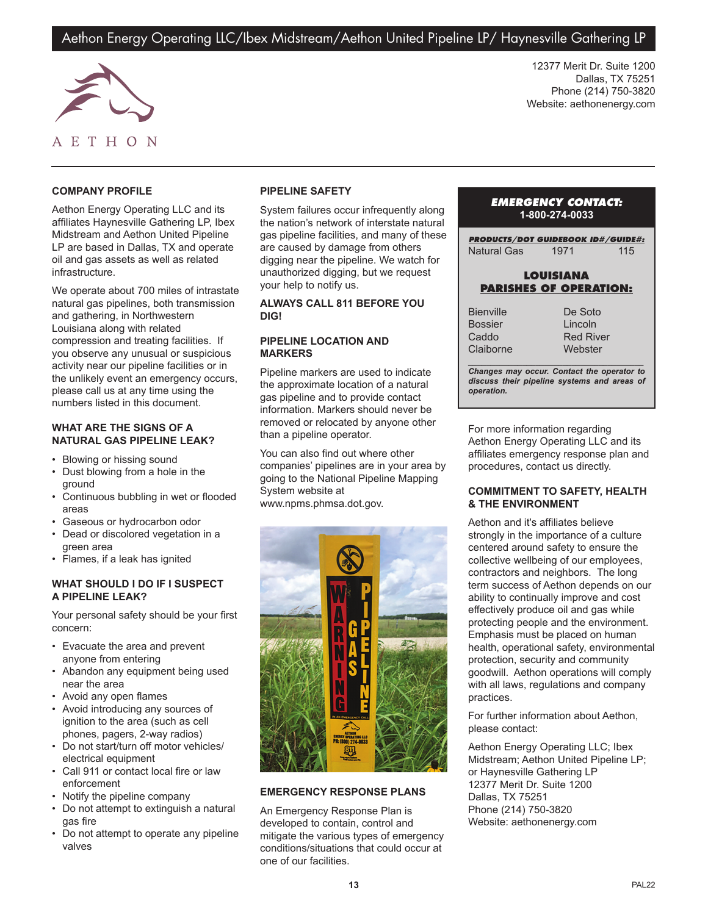# Aethon Energy Operating LLC/Ibex Midstream/Aethon United Pipeline LP/ Haynesville Gathering LP



12377 Merit Dr. Suite 1200 Dallas, TX 75251 Phone (214) 750-3820 Website: aethonenergy.com

# **COMPANY PROFILE**

Aethon Energy Operating LLC and its affiliates Haynesville Gathering LP, Ibex Midstream and Aethon United Pipeline LP are based in Dallas, TX and operate oil and gas assets as well as related infrastructure.

We operate about 700 miles of intrastate natural gas pipelines, both transmission and gathering, in Northwestern Louisiana along with related compression and treating facilities. If you observe any unusual or suspicious activity near our pipeline facilities or in the unlikely event an emergency occurs, please call us at any time using the numbers listed in this document.

#### **WHAT ARE THE SIGNS OF A NATURAL GAS PIPELINE LEAK?**

- Blowing or hissing sound
- Dust blowing from a hole in the ground
- Continuous bubbling in wet or flooded areas
- Gaseous or hydrocarbon odor
- Dead or discolored vegetation in a green area
- Flames, if a leak has ignited

## **WHAT SHOULD I DO IF I SUSPECT A PIPELINE LEAK?**

Your personal safety should be your first concern:

- Evacuate the area and prevent anyone from entering
- Abandon any equipment being used near the area
- Avoid any open flames
- Avoid introducing any sources of ignition to the area (such as cell phones, pagers, 2-way radios)
- Do not start/turn off motor vehicles/ electrical equipment
- Call 911 or contact local fire or law enforcement
- Notify the pipeline company
- Do not attempt to extinguish a natural gas fire
- Do not attempt to operate any pipeline valves

## **PIPELINE SAFETY**

System failures occur infrequently along the nation's network of interstate natural gas pipeline facilities, and many of these are caused by damage from others digging near the pipeline. We watch for unauthorized digging, but we request your help to notify us.

#### **ALWAYS CALL 811 BEFORE YOU DIG!**

## **PIPELINE LOCATION AND MARKERS**

Pipeline markers are used to indicate the approximate location of a natural gas pipeline and to provide contact information. Markers should never be removed or relocated by anyone other than a pipeline operator.

You can also find out where other companies' pipelines are in your area by going to the National Pipeline Mapping System website at www.npms.phmsa.dot.gov.



## **EMERGENCY RESPONSE PLANS**

An Emergency Response Plan is developed to contain, control and mitigate the various types of emergency conditions/situations that could occur at one of our facilities.

## *EMERGENCY CONTACT:* **1-800-274-0033**

*PRODUCTS/DOT GUIDEBOOK ID#/GUIDE#:* Natural Gas 1971 115

## **LOUISIANA PARISHES OF OPERATION:**

**Bienville** Bossier Caddo Claiborne De Soto Lincoln Red River **Webster** 

*\_\_\_\_\_\_\_\_\_\_\_\_\_\_\_\_\_\_\_\_\_\_\_\_\_\_\_\_\_\_\_\_\_\_\_\_\_\_\_ Changes may occur. Contact the operator to discuss their pipeline systems and areas of operation.*

For more information regarding Aethon Energy Operating LLC and its affiliates emergency response plan and procedures, contact us directly.

## **COMMITMENT TO SAFETY, HEALTH & THE ENVIRONMENT**

Aethon and it's affiliates believe strongly in the importance of a culture centered around safety to ensure the collective wellbeing of our employees, contractors and neighbors. The long term success of Aethon depends on our ability to continually improve and cost effectively produce oil and gas while protecting people and the environment. Emphasis must be placed on human health, operational safety, environmental protection, security and community goodwill. Aethon operations will comply with all laws, regulations and company practices.

For further information about Aethon, please contact:

Aethon Energy Operating LLC; Ibex Midstream; Aethon United Pipeline LP; or Haynesville Gathering LP 12377 Merit Dr. Suite 1200 Dallas, TX 75251 Phone (214) 750-3820 Website: aethonenergy.com